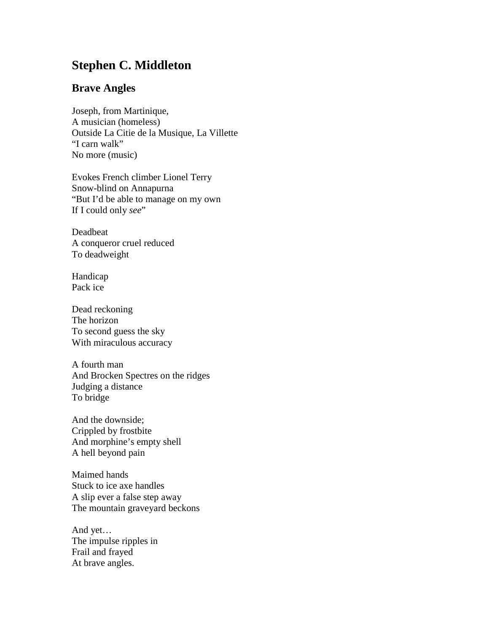## **Stephen C. Middleton**

## **Brave Angles**

Joseph, from Martinique, A musician (homeless) Outside La Citie de la Musique, La Villette "I carn walk" No more (music)

Evokes French climber Lionel Terry Snow-blind on Annapurna "But I'd be able to manage on my own If I could only see"

Deadbeat A conqueror cruel reduced To deadweight

Handicap Pack ice

Dead reckoning The horizon To second guess the sky With miraculous accuracy

A fourth man And Brocken Spectres on the ridges Judging a distance To bridge

And the downside; Crippled by frostbite And morphine's empty shell A hell beyond pain

Maimed hands Stuck to ice axe handles A slip ever a false step away The mountain graveyard beckons

And yet… The impulse ripples in Frail and frayed At brave angles.